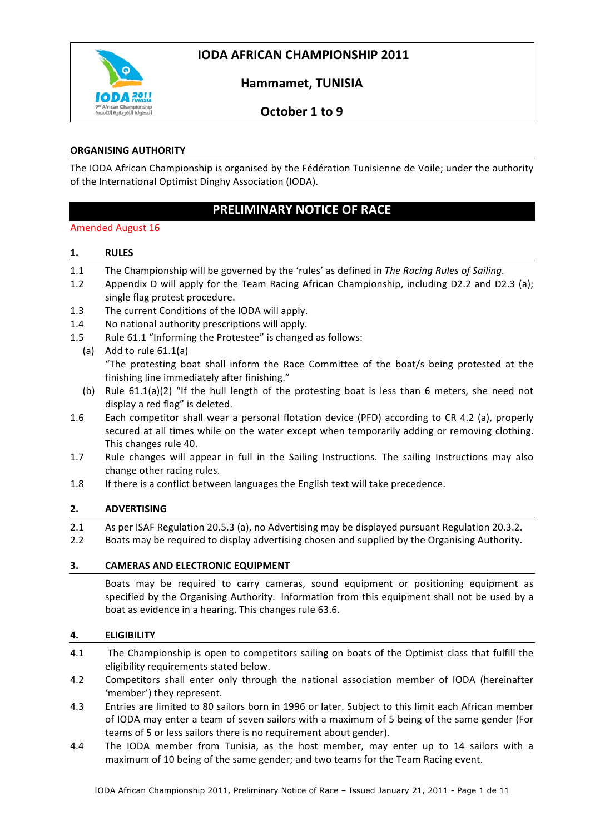



Hammamet, TUNISIA

October 1 to 9

## **ORGANISING AUTHORITY**

The IODA African Championship is organised by the Fédération Tunisienne de Voile; under the authority of the International Optimist Dinghy Association (IODA).

# PRELIMINARY NOTICE OF RACE

## **Amended August 16**

#### $1.$ **RULES**

- $1.1$ The Championship will be governed by the 'rules' as defined in The Racing Rules of Sailing.
- $1.2$ Appendix D will apply for the Team Racing African Championship, including D2.2 and D2.3 (a); single flag protest procedure.
- $1.3$ The current Conditions of the IODA will apply.
- $1.4$ No national authority prescriptions will apply.
- $1.5$ Rule 61.1 "Informing the Protestee" is changed as follows:
	- (a) Add to rule  $61.1(a)$ "The protesting boat shall inform the Race Committee of the boat/s being protested at the finishing line immediately after finishing."
	- (b) Rule  $61.1(a)(2)$  "If the hull length of the protesting boat is less than 6 meters, she need not display a red flag" is deleted.
- 1.6 Each competitor shall wear a personal flotation device (PFD) according to CR 4.2 (a), properly secured at all times while on the water except when temporarily adding or removing clothing. This changes rule 40.
- $1.7$ Rule changes will appear in full in the Sailing Instructions. The sailing Instructions may also change other racing rules.
- 1.8 If there is a conflict between languages the English text will take precedence.

#### $2.$ **ADVERTISING**

- $2.1$ As per ISAF Regulation 20.5.3 (a), no Advertising may be displayed pursuant Regulation 20.3.2.
- $2.2$ Boats may be required to display advertising chosen and supplied by the Organising Authority.

#### $3.$ **CAMERAS AND ELECTRONIC EQUIPMENT**

Boats may be required to carry cameras, sound equipment or positioning equipment as specified by the Organising Authority. Information from this equipment shall not be used by a boat as evidence in a hearing. This changes rule 63.6.

#### 4. **ELIGIBILITY**

- $4.1$ The Championship is open to competitors sailing on boats of the Optimist class that fulfill the eligibility requirements stated below.
- $4.2$ Competitors shall enter only through the national association member of IODA (hereinafter 'member') they represent.
- $4.3$ Entries are limited to 80 sailors born in 1996 or later. Subject to this limit each African member of IODA may enter a team of seven sailors with a maximum of 5 being of the same gender (For teams of 5 or less sailors there is no requirement about gender).
- $4.4$ The IODA member from Tunisia, as the host member, may enter up to 14 sailors with a maximum of 10 being of the same gender; and two teams for the Team Racing event.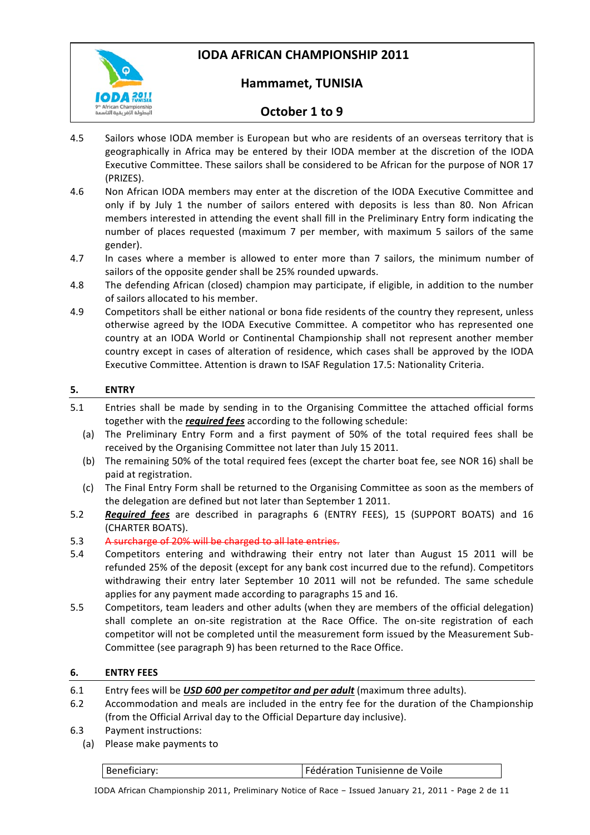

## **Hammamet,!TUNISIA**

# **October 1 to 9**

- 4.5 Sailors whose IODA member is European but who are residents of an overseas territory that is geographically in Africa may be entered by their IODA member at the discretion of the IODA Executive Committee. These sailors shall be considered to be African for the purpose of NOR 17 (PRIZES).
- 4.6 Non African IODA members may enter at the discretion of the IODA Executive Committee and only if by July 1 the number of sailors entered with deposits is less than 80. Non African members interested in attending the event shall fill in the Preliminary Entry form indicating the number of places requested (maximum 7 per member, with maximum 5 sailors of the same gender).
- 4.7 In cases where a member is allowed to enter more than 7 sailors, the minimum number of sailors of the opposite gender shall be 25% rounded upwards.
- 4.8 The defending African (closed) champion may participate, if eligible, in addition to the number of sailors allocated to his member.
- 4.9 Competitors shall be either national or bona fide residents of the country they represent, unless otherwise agreed by the IODA Executive Committee. A competitor who has represented one country at an IODA World or Continental Championship shall not represent another member country except in cases of alteration of residence, which cases shall be approved by the IODA Executive Committee. Attention is drawn to ISAF Regulation 17.5: Nationality Criteria.

## **5. ENTRY**

- 5.1 Entries shall be made by sending in to the Organising Committee the attached official forms together with the *required fees* according to the following schedule:
	- (a) The Preliminary Entry Form and a first payment of 50% of the total required fees shall be received by the Organising Committee not later than July 15 2011.
	- (b) The remaining 50% of the total required fees (except the charter boat fee, see NOR 16) shall be paid at registration.
	- (c) The Final Entry Form shall be returned to the Organising Committee as soon as the members of the delegation are defined but not later than September 1 2011.
- 5.2 **Required fees** are described in paragraphs 6 (ENTRY FEES), 15 (SUPPORT BOATS) and 16 (CHARTER BOATS).
- 5.3 A surcharge of 20% will be charged to all late entries.
- 5.4 Competitors entering and withdrawing their entry not later than August 15 2011 will be refunded 25% of the deposit (except for any bank cost incurred due to the refund). Competitors withdrawing their entry later September 10 2011 will not be refunded. The same schedule applies for any payment made according to paragraphs 15 and 16.
- 5.5 Competitors, team leaders and other adults (when they are members of the official delegation) shall complete an on-site registration at the Race Office. The on-site registration of each competitor will not be completed until the measurement form issued by the Measurement Sub-Committee (see paragraph 9) has been returned to the Race Office.

## **6. ENTRY!FEES**

- 6.1 Entry fees will be *USD 600 per competitor and per adult* (maximum three adults).
- 6.2 Accommodation and meals are included in the entry fee for the duration of the Championship (from the Official Arrival day to the Official Departure day inclusive).
- 6.3 Payment instructions:
	- (a) Please make payments to

| Beneficiary: | Fédération Tunisienne de Voile |
|--------------|--------------------------------|
|--------------|--------------------------------|

IODA African Championship 2011, Preliminary Notice of Race – Issued January 21, 2011 - Page 2 de 11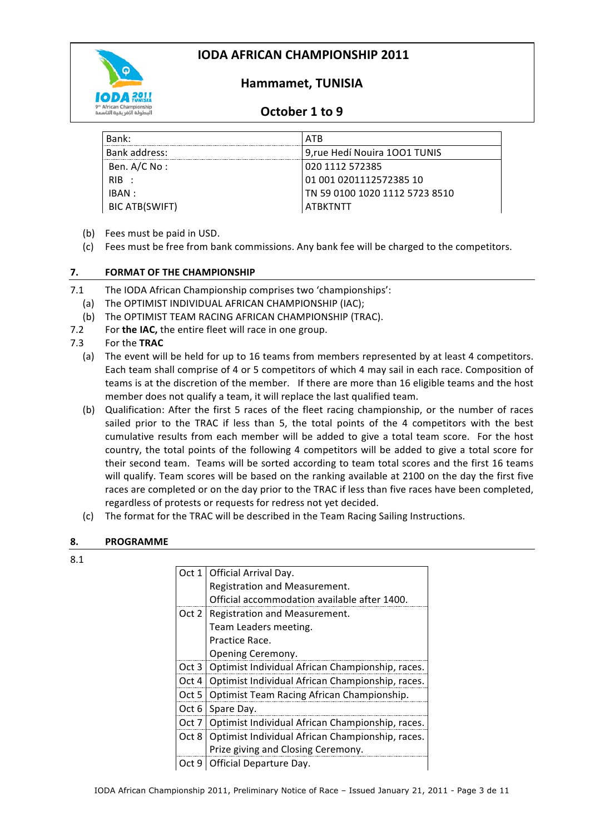

## **Hammamet,!TUNISIA**

## **October 1 to 9**

| Bank:          | ATB                            |  |
|----------------|--------------------------------|--|
| Bank address:  | 9, rue Hedí Nouira 1001 TUNIS  |  |
| Ben. A/C No :  | 020 1112 572385                |  |
| RIB :          | 01 001 0201112572385 10        |  |
| IBAN :         | TN 59 0100 1020 1112 5723 8510 |  |
| BIC ATB(SWIFT) | ATRKTNTT                       |  |

- (b) Fees must be paid in USD.
- (c) Fees must be free from bank commissions. Any bank fee will be charged to the competitors.

## **7. •• FORMAT OF THE CHAMPIONSHIP**

- 7.1 The IODA African Championship comprises two 'championships':
	- (a) The OPTIMIST INDIVIDUAL AFRICAN CHAMPIONSHIP (IAC);
	- (b) The OPTIMIST TEAM RACING AFRICAN CHAMPIONSHIP (TRAC).
- 7.2 For **the IAC**, the entire fleet will race in one group.

## 7.3 For!the!**TRAC**

- (a) The event will be held for up to 16 teams from members represented by at least 4 competitors. Each team shall comprise of 4 or 5 competitors of which 4 may sail in each race. Composition of teams is at the discretion of the member. If there are more than 16 eligible teams and the host member does not qualify a team, it will replace the last qualified team.
- (b) Qualification: After the first 5 races of the fleet racing championship, or the number of races sailed prior to the TRAC if less than 5, the total points of the 4 competitors with the best cumulative results from each member will be added to give a total team score. For the host country, the total points of the following 4 competitors will be added to give a total score for their second team. Teams will be sorted according to team total scores and the first 16 teams will qualify. Team scores will be based on the ranking available at 2100 on the day the first five races are completed or on the day prior to the TRAC if less than five races have been completed, regardless of protests or requests for redress not yet decided.
- (c) The format for the TRAC will be described in the Team Racing Sailing Instructions.

## **8. PROGRAMME**

#### 8.1

| Oct 1 | Official Arrival Day.                            |
|-------|--------------------------------------------------|
|       | Registration and Measurement.                    |
|       | Official accommodation available after 1400.     |
| Oct 2 | Registration and Measurement.                    |
|       | Team Leaders meeting.                            |
|       | Practice Race.                                   |
|       | Opening Ceremony.                                |
| Oct 3 | Optimist Individual African Championship, races. |
| Oct 4 | Optimist Individual African Championship, races. |
| Oct 5 | Optimist Team Racing African Championship.       |
| Oct 6 | Spare Day.                                       |
| Oct 7 | Optimist Individual African Championship, races. |
| Oct 8 | Optimist Individual African Championship, races. |
|       | Prize giving and Closing Ceremony.               |
| Oct 9 | Official Departure Day.                          |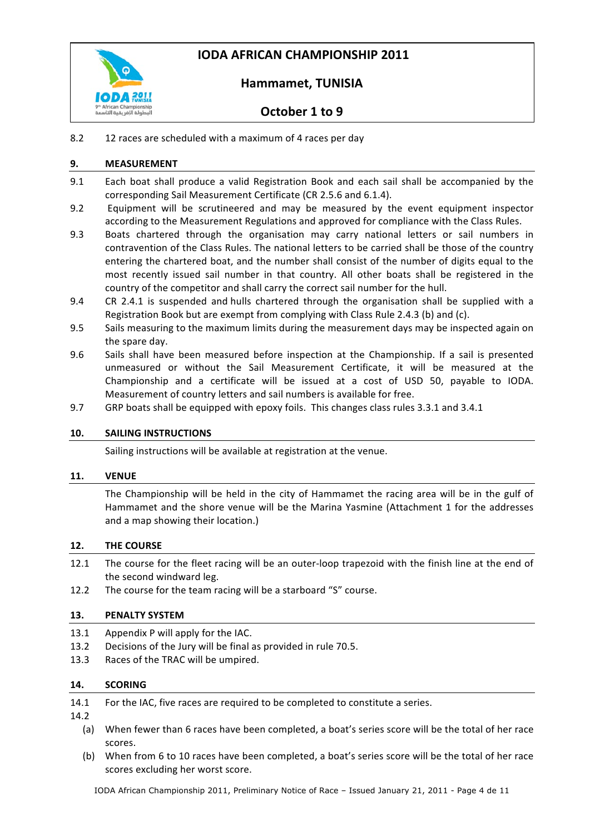

## **Hammamet,!TUNISIA**

# **October 1 to 9**

8.2 12 races are scheduled with a maximum of 4 races per day

## **9. MEASUREMENT**

- 9.1 Each boat shall produce a valid Registration Book and each sail shall be accompanied by the corresponding Sail Measurement Certificate (CR 2.5.6 and 6.1.4).
- 9.2 Equipment will be scrutineered and may be measured by the event equipment inspector according to the Measurement Regulations and approved for compliance with the Class Rules.
- 9.3 Boats chartered through the organisation may carry national letters or sail numbers in contravention of the Class Rules. The national letters to be carried shall be those of the country entering the chartered boat, and the number shall consist of the number of digits equal to the most recently issued sail number in that country. All other boats shall be registered in the country of the competitor and shall carry the correct sail number for the hull.
- 9.4 CR 2.4.1 is suspended and hulls chartered through the organisation shall be supplied with a Registration Book but are exempt from complying with Class Rule 2.4.3 (b) and (c).
- 9.5 Sails measuring to the maximum limits during the measurement days may be inspected again on the spare day.
- 9.6 Sails shall have been measured before inspection at the Championship. If a sail is presented unmeasured or without the Sail Measurement Certificate, it will be measured at the Championship and a certificate will be issued at a cost of USD 50, payable to IODA. Measurement of country letters and sail numbers is available for free.
- 9.7 GRP boats shall be equipped with epoxy foils. This changes class rules 3.3.1 and 3.4.1

#### **10. SAILING!INSTRUCTIONS**

Sailing instructions will be available at registration at the venue.

#### **11. VENUE**

The Championship will be held in the city of Hammamet the racing area will be in the gulf of Hammamet and the shore venue will be the Marina Yasmine (Attachment 1 for the addresses and a map showing their location.)

#### 12. **THE COURSE**

- 12.1 The course for the fleet racing will be an outer-loop trapezoid with the finish line at the end of the second windward leg.
- 12.2 The course for the team racing will be a starboard "S" course.

#### **13. PENALTY!SYSTEM**

- 13.1 Appendix P will apply for the IAC.
- 13.2 Decisions of the Jury will be final as provided in rule 70.5.
- 13.3 Races of the TRAC will be umpired.

#### **14. SCORING**

- 14.1 For the IAC, five races are required to be completed to constitute a series.
- 14.2!
	- (a) When fewer than 6 races have been completed, a boat's series score will be the total of her race scores.
	- (b) When from 6 to 10 races have been completed, a boat's series score will be the total of her race scores excluding her worst score.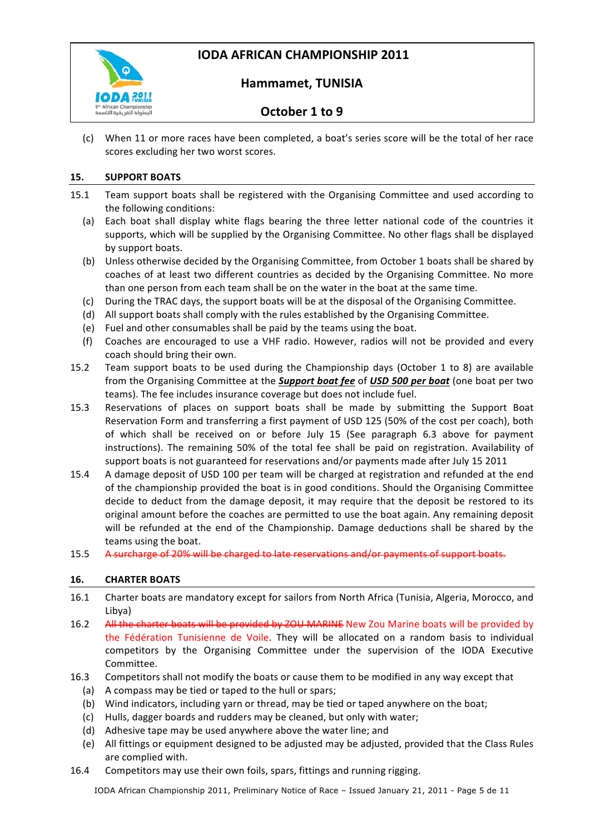

## **Hammamet,!TUNISIA**

# **October 1 to 9**

(c) When 11 or more races have been completed, a boat's series score will be the total of her race scores excluding her two worst scores.

## 15. **SUPPORT BOATS**

- 15.1 Team support boats shall be registered with the Organising Committee and used according to the following conditions:
	- (a) Each boat shall display white flags bearing the three letter national code of the countries it supports, which will be supplied by the Organising Committee. No other flags shall be displayed by support boats.
	- (b) Unless otherwise decided by the Organising Committee, from October 1 boats shall be shared by coaches of at least two different countries as decided by the Organising Committee. No more than one person from each team shall be on the water in the boat at the same time.
	- (c) During the TRAC days, the support boats will be at the disposal of the Organising Committee.
	- (d) All support boats shall comply with the rules established by the Organising Committee.
	- (e) Fuel and other consumables shall be paid by the teams using the boat.
	- (f) Coaches are encouraged to use a VHF radio. However, radios will not be provided and every coach should bring their own.
- 15.2 Team support boats to be used during the Championship days (October 1 to 8) are available from the Organising Committee at the **Support boat fee** of **USD 500 per boat** (one boat per two teams). The fee includes insurance coverage but does not include fuel.
- 15.3 Reservations of places on support boats shall be made by submitting the Support Boat Reservation Form and transferring a first payment of USD 125 (50% of the cost per coach), both of which shall be received on or before July 15 (See paragraph 6.3 above for payment instructions). The remaining 50% of the total fee shall be paid on registration. Availability of support boats is not guaranteed for reservations and/or payments made after July 15 2011
- 15.4 A damage deposit of USD 100 per team will be charged at registration and refunded at the end of the championship provided the boat is in good conditions. Should the Organising Committee decide to deduct from the damage deposit, it may require that the deposit be restored to its original amount before the coaches are permitted to use the boat again. Any remaining deposit will be refunded at the end of the Championship. Damage deductions shall be shared by the teams using the boat.
- 15.5 A surcharge of 20% will be charged to late reservations and/or payments of support boats.

## **16. CHARTER!BOATS**

- 16.1 Charter boats are mandatory except for sailors from North Africa (Tunisia, Algeria, Morocco, and Libya)
- 16.2 All the charter boats will be provided by ZOU MARINE New Zou Marine boats will be provided by the Fédération Tunisienne de Voile. They will be allocated on a random basis to individual competitors by the Organising Committee under the supervision of the IODA Executive Committee.
- 16.3 Competitors shall not modify the boats or cause them to be modified in any way except that
	- (a) A compass may be tied or taped to the hull or spars;
	- (b) Wind indicators, including yarn or thread, may be tied or taped anywhere on the boat;
	- (c) Hulls, dagger boards and rudders may be cleaned, but only with water;
	- (d) Adhesive tape may be used anywhere above the water line; and
	- (e) All fittings or equipment designed to be adjusted may be adjusted, provided that the Class Rules are complied with.
- 16.4 Competitors may use their own foils, spars, fittings and running rigging.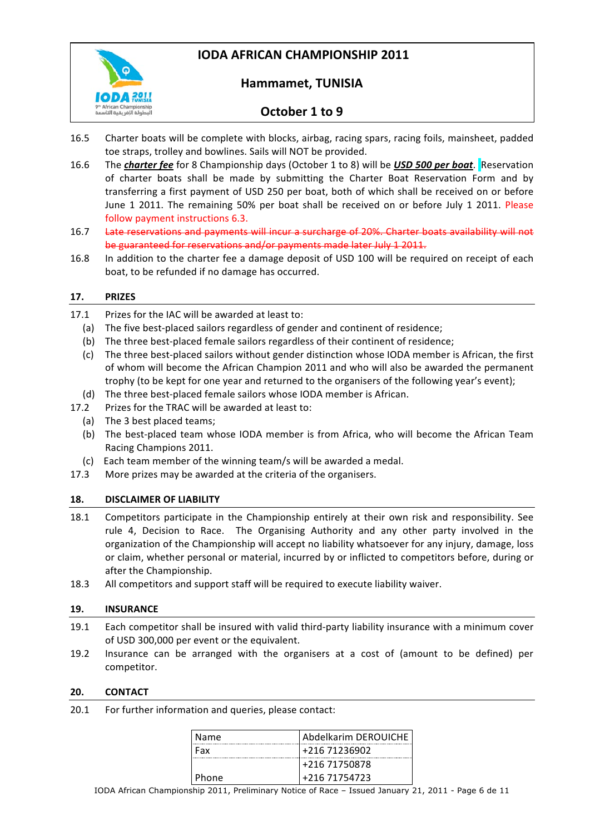

## **Hammamet,!TUNISIA**

# **October 1 to 9**

- 16.5 Charter boats will be complete with blocks, airbag, racing spars, racing foils, mainsheet, padded toe straps, trolley and bowlines. Sails will NOT be provided.
- 16.6 The *charter fee* for 8 Championship days (October 1 to 8) will be **USD 500 per boat**. Reservation of charter boats shall be made by submitting the Charter Boat Reservation Form and by transferring a first payment of USD 250 per boat, both of which shall be received on or before June 1 2011. The remaining 50% per boat shall be received on or before July 1 2011. Please follow payment instructions 6.3.
- 16.7 Late reservations and payments will incur a surcharge of 20%. Charter boats availability will not be guaranteed for reservations and/or payments made later July 1 2011.
- 16.8 In addition to the charter fee a damage deposit of USD 100 will be required on receipt of each boat, to be refunded if no damage has occurred.

## **17. PRIZES**

- 17.1 Prizes for the IAC will be awarded at least to:
	- (a) The five best-placed sailors regardless of gender and continent of residence;
	- (b) The three best-placed female sailors regardless of their continent of residence;
	- (c) The three best-placed sailors without gender distinction whose IODA member is African, the first of whom will become the African Champion 2011 and who will also be awarded the permanent trophy (to be kept for one year and returned to the organisers of the following year's event);
	- (d) The three best-placed female sailors whose IODA member is African.
- 17.2 Prizes for the TRAC will be awarded at least to:
	- (a) The 3 best placed teams;
	- (b) The best-placed team whose IODA member is from Africa, who will become the African Team Racing Champions 2011.
	- (c) Each team member of the winning team/s will be awarded a medal.
- 17.3 More prizes may be awarded at the criteria of the organisers.

#### **18. DISCLAIMER OF LIABILITY**

- 18.1 Competitors participate in the Championship entirely at their own risk and responsibility. See rule 4, Decision to Race. The Organising Authority and any other party involved in the organization of the Championship will accept no liability whatsoever for any injury, damage, loss or claim, whether personal or material, incurred by or inflicted to competitors before, during or after the Championship.
- 18.3 All competitors and support staff will be required to execute liability waiver.

#### **19. INSURANCE**

- 19.1 Each competitor shall be insured with valid third-party liability insurance with a minimum cover of USD 300,000 per event or the equivalent.
- 19.2 Insurance can be arranged with the organisers at a cost of (amount to be defined) per competitor.

## **20. CONTACT**

20.1 For further information and queries, please contact:

| Name  | Abdelkarim DFROUICHF |  |  |
|-------|----------------------|--|--|
| Fax   | +216 71236902        |  |  |
|       | +216 71750878        |  |  |
| Phone | +216 71754723        |  |  |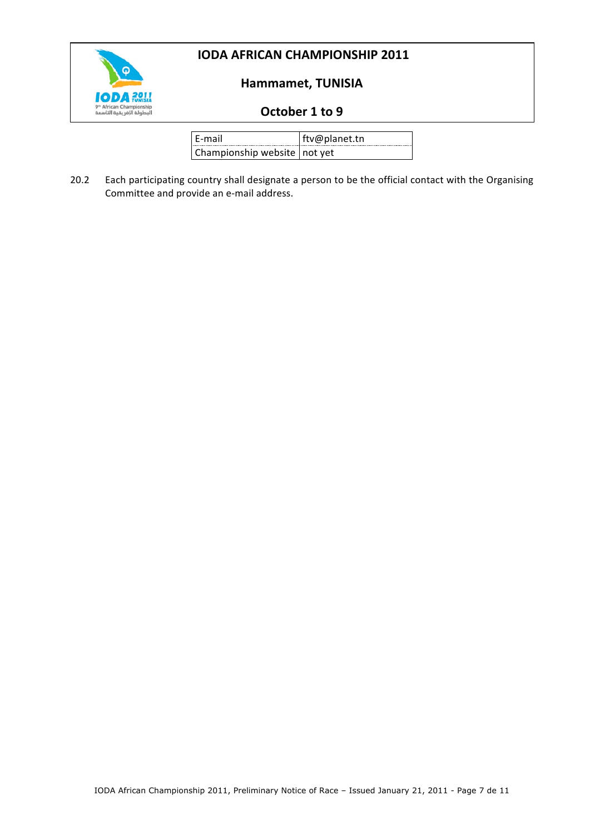

# Hammamet, TUNISIA

# October 1 to 9

E-mail ftv@pla<br>Championship website not yet ftv@planet.tn

 $20.2$ Each participating country shall designate a person to be the official contact with the Organising Committee and provide an e-mail address.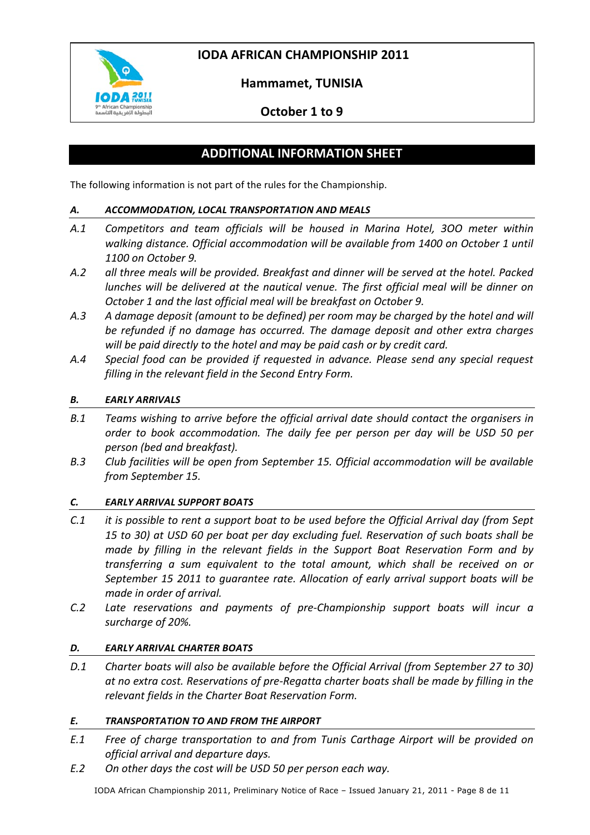



## **Hammamet,!TUNISIA**

## **October 1 to 9**

## **ADDITIONAL!INFORMATION!SHEET**

The following information is not part of the rules for the Championship.

## A. ACCOMMODATION, LOCAL TRANSPORTATION AND MEALS

- A.1 **Competitors and team officials will be housed in Marina Hotel, 300 meter within** walking distance. Official accommodation will be available from 1400 on October 1 until *1100\$on\$October\$9.*
- A.2 all three meals will be provided. Breakfast and dinner will be served at the hotel. Packed *lunches will be delivered at the nautical venue. The first official meal will be dinner on* **October 1 and the last official meal will be breakfast on October 9.**
- A.3 A damage deposit (amount to be defined) per room may be charged by the hotel and will be refunded if no damage has occurred. The damage deposit and other extra charges will be paid directly to the hotel and may be paid cash or by credit card.
- A.4 **Special food can be provided if requested in advance. Please send any special request** filling in the relevant field in the Second Entry Form.

## **B. EARLY ARRIVALS**

- **B.1** *Teams wishing to arrive before the official arrival date should contact the organisers in* order to book accommodation. The daily fee per person per day will be USD 50 per *person\$(bed\$and\$breakfast).*
- **B.3** Club facilities will be open from September 15. Official accommodation will be available *from September 15.*

## *C. EARLY'ARRIVAL'SUPPORT'BOATS*

- *C.1 it is possible to rent a support boat to be used before the Official Arrival day (from Sept* 15 to 30) at USD 60 per boat per day excluding fuel. Reservation of such boats shall be *made by filling in the relevant fields in the Support Boat Reservation Form and by transferring a sum equivalent to the total amount, which shall be received on or* September 15 2011 to guarantee rate. Allocation of early arrival support boats will be *made in order of arrival.*
- *C.2* Late reservations and payments of pre-Championship support boats will incur a surcharge of 20%.

## *D. EARLY'ARRIVAL'CHARTER'BOATS*

*D.1* Charter boats will also be available before the Official Arrival (from September 27 to 30) at no extra cost. Reservations of pre-Regatta charter boats shall be made by filling in the *relevant fields in the Charter Boat Reservation Form.* 

## **E. TRANSPORTATION TO AND FROM THE AIRPORT**

- *E.1 Free of charge transportation to and from Tunis Carthage Airport will be provided on official\$arrival\$and\$departure\$days.*
- E.2 On other days the cost will be USD 50 per person each way.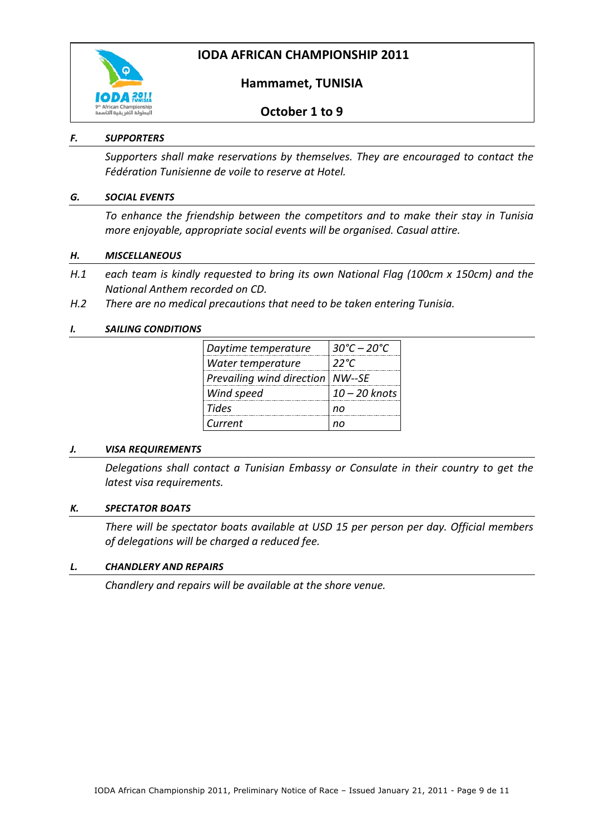

## Hammamet, TUNISIA

October 1 to 9

#### F. **SUPPORTERS**

Supporters shall make reservations by themselves. They are encouraged to contact the Fédération Tunisienne de voile to reserve at Hotel.

#### **SOCIAL EVENTS** G.

To enhance the friendship between the competitors and to make their stay in Tunisia more enjoyable, appropriate social events will be organised. Casual attire.

#### **MISCELLANEOUS** Н.

- each team is kindly requested to bring its own National Flag (100cm x 150cm) and the  $H.1$ National Anthem recorded on CD.
- $H.2$ There are no medical precautions that need to be taken entering Tunisia.

#### **SAILING CONDITIONS**  $\mathbf{l}$ .

| Daytime temperature                | $30^{\circ}$ C – 20 $^{\circ}$ C |
|------------------------------------|----------------------------------|
| Water temperature                  | 22°C                             |
| Prevailing wind direction   NW--SE |                                  |
| Wind speed                         | $10 - 20$ knots                  |
| Tides                              |                                  |
| Current                            |                                  |

#### J. **VISA REQUIREMENTS**

Delegations shall contact a Tunisian Embassy or Consulate in their country to get the latest visa requirements.

#### **SPECTATOR BOATS** К.

There will be spectator boats available at USD 15 per person per day. Official members of delegations will be charged a reduced fee.

#### **CHANDLERY AND REPAIRS** L.

Chandlery and repairs will be available at the shore venue.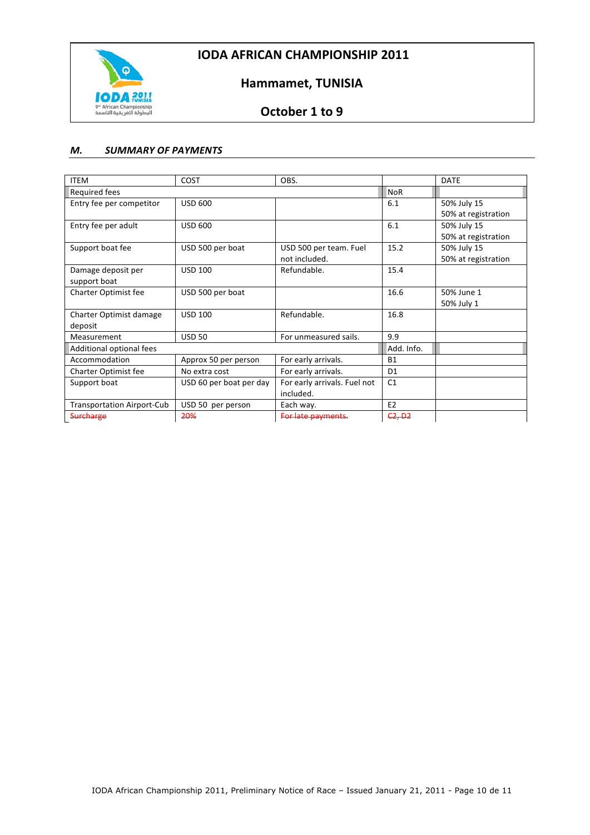



**Hammamet, TUNISIA** 

# **October 1 to 9**

### *M. SUMMARY'OF'PAYMENTS*

| <b>ITEM</b>                       | COST                    | OBS.                         |                | <b>DATE</b>         |
|-----------------------------------|-------------------------|------------------------------|----------------|---------------------|
| <b>Required fees</b>              |                         |                              | <b>NoR</b>     |                     |
| Entry fee per competitor          | <b>USD 600</b>          |                              | 6.1            | 50% July 15         |
|                                   |                         |                              |                | 50% at registration |
| Entry fee per adult               | <b>USD 600</b>          |                              | 6.1            | 50% July 15         |
|                                   |                         |                              |                | 50% at registration |
| Support boat fee                  | USD 500 per boat        | USD 500 per team. Fuel       | 15.2           | 50% July 15         |
|                                   |                         | not included.                |                | 50% at registration |
| Damage deposit per                | <b>USD 100</b>          | Refundable.                  | 15.4           |                     |
| support boat                      |                         |                              |                |                     |
| Charter Optimist fee              | USD 500 per boat        |                              | 16.6           | 50% June 1          |
|                                   |                         |                              |                | 50% July 1          |
| Charter Optimist damage           | <b>USD 100</b>          | Refundable.                  | 16.8           |                     |
| deposit                           |                         |                              |                |                     |
| Measurement                       | <b>USD 50</b>           | For unmeasured sails.        | 9.9            |                     |
| Additional optional fees          |                         |                              | Add. Info.     |                     |
| Accommodation                     | Approx 50 per person    | For early arrivals.          | <b>B1</b>      |                     |
| Charter Optimist fee              | No extra cost           | For early arrivals.          | D <sub>1</sub> |                     |
| Support boat                      | USD 60 per boat per day | For early arrivals. Fuel not | C <sub>1</sub> |                     |
|                                   |                         | included.                    |                |                     |
| <b>Transportation Airport-Cub</b> | USD 50 per person       | Each way.                    | F <sub>2</sub> |                     |
| <b>Surcharge</b>                  | 20%                     | For late payments.           | C2, D2         |                     |